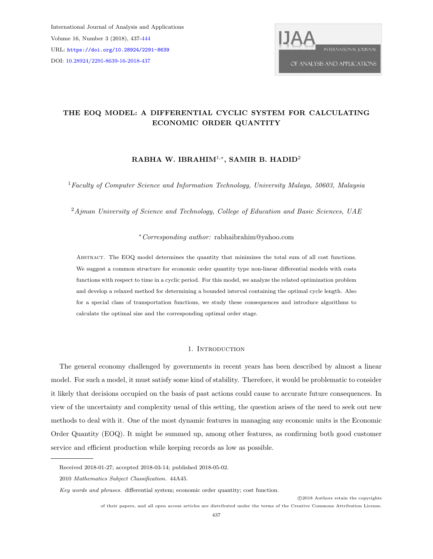International Journal of Analysis and Applications Volume 16, Number 3 (2018), 437[-444](#page-7-0) URL: <https://doi.org/10.28924/2291-8639> DOI: [10.28924/2291-8639-16-2018-437](https://doi.org/10.28924/2291-8639-16-2018-437)



# THE EOQ MODEL: A DIFFERENTIAL CYCLIC SYSTEM FOR CALCULATING ECONOMIC ORDER QUANTITY

## RABHA W. IBRAHIM<sup>1,\*</sup>, SAMIR B. HADID<sup>2</sup>

<sup>1</sup> Faculty of Computer Science and Information Technology, University Malaya, 50603, Malaysia

 $2A$ jman University of Science and Technology, College of Education and Basic Sciences, UAE

### <sup>∗</sup>Corresponding author: rabhaibrahim@yahoo.com

Abstract. The EOQ model determines the quantity that minimizes the total sum of all cost functions. We suggest a common structure for economic order quantity type non-linear differential models with costs functions with respect to time in a cyclic period. For this model, we analyze the related optimization problem and develop a relaxed method for determining a bounded interval containing the optimal cycle length. Also for a special class of transportation functions, we study these consequences and introduce algorithms to calculate the optimal size and the corresponding optimal order stage.

### 1. INTRODUCTION

The general economy challenged by governments in recent years has been described by almost a linear model. For such a model, it must satisfy some kind of stability. Therefore, it would be problematic to consider it likely that decisions occupied on the basis of past actions could cause to accurate future consequences. In view of the uncertainty and complexity usual of this setting, the question arises of the need to seek out new methods to deal with it. One of the most dynamic features in managing any economic units is the Economic Order Quantity (EOQ). It might be summed up, among other features, as confirming both good customer service and efficient production while keeping records as low as possible.

Received 2018-01-27; accepted 2018-03-14; published 2018-05-02.

<sup>2010</sup> Mathematics Subject Classification. 44A45.

Key words and phrases. differential system; economic order quantity; cost function.

of their papers, and all open access articles are distributed under the terms of the Creative Commons Attribution License.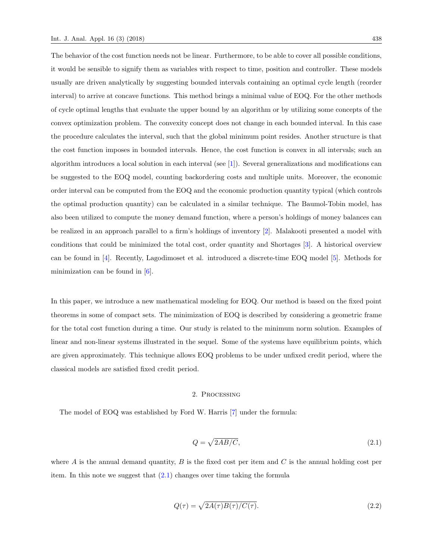The behavior of the cost function needs not be linear. Furthermore, to be able to cover all possible conditions, it would be sensible to signify them as variables with respect to time, position and controller. These models usually are driven analytically by suggesting bounded intervals containing an optimal cycle length (reorder interval) to arrive at concave functions. This method brings a minimal value of EOQ. For the other methods of cycle optimal lengths that evaluate the upper bound by an algorithm or by utilizing some concepts of the convex optimization problem. The convexity concept does not change in each bounded interval. In this case the procedure calculates the interval, such that the global minimum point resides. Another structure is that the cost function imposes in bounded intervals. Hence, the cost function is convex in all intervals; such an algorithm introduces a local solution in each interval (see [\[1\]](#page-7-1)). Several generalizations and modifications can be suggested to the EOQ model, counting backordering costs and multiple units. Moreover, the economic order interval can be computed from the EOQ and the economic production quantity typical (which controls the optimal production quantity) can be calculated in a similar technique. The Baumol-Tobin model, has also been utilized to compute the money demand function, where a person's holdings of money balances can be realized in an approach parallel to a firm's holdings of inventory [\[2\]](#page-7-2). Malakooti presented a model with conditions that could be minimized the total cost, order quantity and Shortages [\[3\]](#page-7-3). A historical overview can be found in [\[4\]](#page-7-4). Recently, Lagodimoset et al. introduced a discrete-time EOQ model [\[5\]](#page-7-5). Methods for minimization can be found in [\[6\]](#page-7-6).

In this paper, we introduce a new mathematical modeling for EOQ. Our method is based on the fixed point theorems in some of compact sets. The minimization of EOQ is described by considering a geometric frame for the total cost function during a time. Our study is related to the minimum norm solution. Examples of linear and non-linear systems illustrated in the sequel. Some of the systems have equilibrium points, which are given approximately. This technique allows EOQ problems to be under unfixed credit period, where the classical models are satisfied fixed credit period.

#### 2. Processing

<span id="page-1-0"></span>The model of EOQ was established by Ford W. Harris [\[7\]](#page-7-7) under the formula:

$$
Q = \sqrt{2AB/C},\tag{2.1}
$$

<span id="page-1-1"></span>where A is the annual demand quantity,  $B$  is the fixed cost per item and  $C$  is the annual holding cost per item. In this note we suggest that [\(2.1\)](#page-1-0) changes over time taking the formula

$$
Q(\tau) = \sqrt{2A(\tau)B(\tau)/C(\tau)}.
$$
\n(2.2)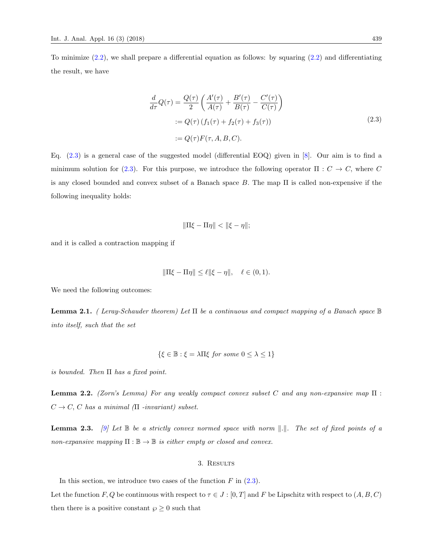<span id="page-2-0"></span>To minimize  $(2.2)$ , we shall prepare a differential equation as follows: by squaring  $(2.2)$  and differentiating the result, we have

$$
\frac{d}{d\tau}Q(\tau) = \frac{Q(\tau)}{2} \left( \frac{A'(\tau)}{A(\tau)} + \frac{B'(\tau)}{B(\tau)} - \frac{C'(\tau)}{C(\tau)} \right)
$$
  
:=  $Q(\tau) (f_1(\tau) + f_2(\tau) + f_3(\tau))$   
:=  $Q(\tau)F(\tau, A, B, C).$  (2.3)

Eq. [\(2.3\)](#page-2-0) is a general case of the suggested model (differential EOQ) given in [\[8\]](#page-7-8). Our aim is to find a minimum solution for [\(2.3\)](#page-2-0). For this purpose, we introduce the following operator  $\Pi : C \to C$ , where C is any closed bounded and convex subset of a Banach space  $B$ . The map  $\Pi$  is called non-expensive if the following inequality holds:

$$
\|\Pi\xi - \Pi\eta\| < \|\xi - \eta\|;
$$

and it is called a contraction mapping if

$$
\|\Pi\xi-\Pi\eta\|\leq \ell\|\xi-\eta\|,\quad \ell\in(0,1)
$$

We need the following outcomes:

<span id="page-2-1"></span>**Lemma 2.1.** ( Leray-Schauder theorem) Let  $\Pi$  be a continuous and compact mapping of a Banach space  $\mathbb B$ into itself, such that the set

$$
\{\xi \in \mathbb{B} : \xi = \lambda \Pi \xi \text{ for some } 0 \le \lambda \le 1\}
$$

is bounded. Then  $\Pi$  has a fixed point.

<span id="page-2-2"></span>**Lemma 2.2.** (Zorn's Lemma) For any weakly compact convex subset C and any non-expansive map  $\Pi$ :  $C \rightarrow C$ , C has a minimal ( $\Pi$  -invariant) subset.

<span id="page-2-3"></span>**Lemma 2.3.** [\[9\]](#page-7-9) Let  $\mathbb{B}$  be a strictly convex normed space with norm  $\Vert .\Vert$ . The set of fixed points of a non-expansive mapping  $\Pi : \mathbb{B} \to \mathbb{B}$  is either empty or closed and convex.

#### 3. Results

In this section, we introduce two cases of the function  $F$  in  $(2.3)$ .

Let the function  $F, Q$  be continuous with respect to  $\tau \in J : [0, T]$  and F be Lipschitz with respect to  $(A, B, C)$ then there is a positive constant  $\wp \geq 0$  such that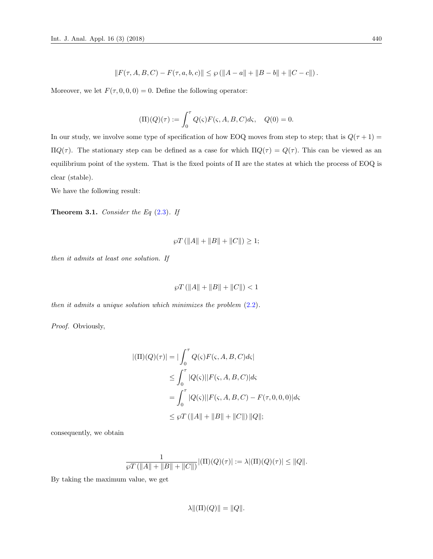$$
||F(\tau, A, B, C) - F(\tau, a, b, c)|| \le \wp(||A - a|| + ||B - b|| + ||C - c||).
$$

Moreover, we let  $F(\tau, 0, 0, 0) = 0$ . Define the following operator:

$$
(\Pi)(Q)(\tau) := \int_0^{\tau} Q(\varsigma) F(\varsigma, A, B, C) d\varsigma, \quad Q(0) = 0.
$$

In our study, we involve some type of specification of how EOQ moves from step to step; that is  $Q(\tau + 1) =$ Π $Q(τ)$ . The stationary step can be defined as a case for which  $\Pi Q(τ) = Q(τ)$ . This can be viewed as an equilibrium point of the system. That is the fixed points of Π are the states at which the process of EOQ is clear (stable).

We have the following result:

<span id="page-3-0"></span>**Theorem 3.1.** Consider the Eq  $(2.3)$ . If

$$
\wp T \left( \|A\| + \|B\| + \|C\| \right) \ge 1;
$$

then it admits at least one solution. If

$$
\wp T \left( \|A\| + \|B\| + \|C\| \right) < 1
$$

then it admits a unique solution which minimizes the problem [\(2.2\)](#page-1-1).

Proof. Obviously,

$$
|(\Pi)(Q)(\tau)| = |\int_0^{\tau} Q(\varsigma) F(\varsigma, A, B, C) d\varsigma|
$$
  
\n
$$
\leq \int_0^{\tau} |Q(\varsigma)||F(\varsigma, A, B, C)| d\varsigma
$$
  
\n
$$
= \int_0^{\tau} |Q(\varsigma)||F(\varsigma, A, B, C) - F(\tau, 0, 0, 0)| d\varsigma
$$
  
\n
$$
\leq \wp T (||A|| + ||B|| + ||C||) ||Q||;
$$

consequently, we obtain

$$
\frac{1}{\wp T\left(\|A\|+\|B\|+\|C\|\right)}|(\Pi)(Q)(\tau)|:=\lambda|(\Pi)(Q)(\tau)|\leq \|Q\|.
$$

By taking the maximum value, we get

$$
\lambda \|(\Pi)(Q)\| = \|Q\|.
$$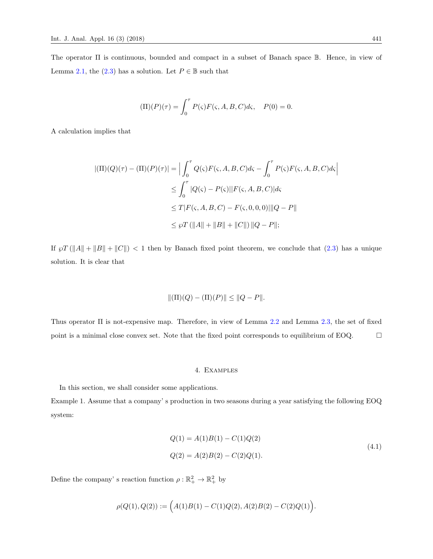The operator Π is continuous, bounded and compact in a subset of Banach space B. Hence, in view of Lemma [2.1,](#page-2-1) the [\(2.3\)](#page-2-0) has a solution. Let  $P \in \mathbb{B}$  such that

$$
(\Pi)(P)(\tau) = \int_0^{\tau} P(\zeta) F(\zeta, A, B, C) d\zeta, \quad P(0) = 0.
$$

A calculation implies that

$$
|(\Pi)(Q)(\tau) - (\Pi)(P)(\tau)| = \Big| \int_0^{\tau} Q(\varsigma) F(\varsigma, A, B, C) d\varsigma - \int_0^{\tau} P(\varsigma) F(\varsigma, A, B, C) d\varsigma \Big|
$$
  

$$
\leq \int_0^{\tau} |Q(\varsigma) - P(\varsigma)| |F(\varsigma, A, B, C)| d\varsigma
$$
  

$$
\leq T |F(\varsigma, A, B, C) - F(\varsigma, 0, 0, 0)| ||Q - P||
$$
  

$$
\leq \wp T (||A|| + ||B|| + ||C||) ||Q - P||;
$$

If  $\wp T(\Vert A \Vert + \Vert B \Vert + \Vert C \Vert) < 1$  then by Banach fixed point theorem, we conclude that [\(2.3\)](#page-2-0) has a unique solution. It is clear that

$$
\|(\Pi)(Q) - (\Pi)(P)\| \le \|Q - P\|.
$$

Thus operator Π is not-expensive map. Therefore, in view of Lemma [2.2](#page-2-2) and Lemma [2.3,](#page-2-3) the set of fixed point is a minimal close convex set. Note that the fixed point corresponds to equilibrium of EOQ.  $\Box$ 

#### 4. Examples

In this section, we shall consider some applications.

<span id="page-4-0"></span>Example 1. Assume that a company' s production in two seasons during a year satisfying the following EOQ system:

$$
Q(1) = A(1)B(1) - C(1)Q(2)
$$
  
\n
$$
Q(2) = A(2)B(2) - C(2)Q(1).
$$
\n(4.1)

Define the company's reaction function  $\rho : \mathbb{R}^2_+ \to \mathbb{R}^2_+$  by

$$
\rho(Q(1), Q(2)) := (A(1)B(1) - C(1)Q(2), A(2)B(2) - C(2)Q(1)).
$$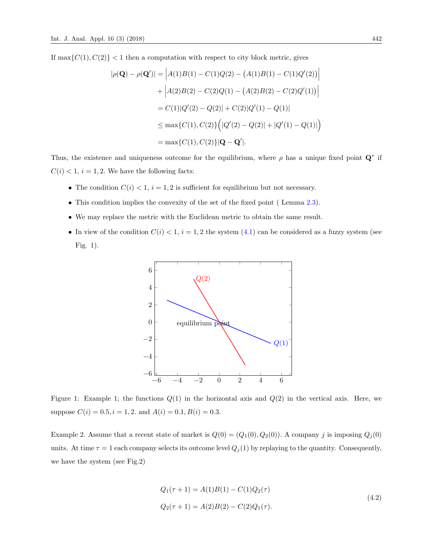If  $\max\{C(1), C(2)\}$  < 1 then a computation with respect to city block metric, gives

$$
|\rho(\mathbf{Q}) - \rho(\mathbf{Q}')| = |A(1)B(1) - C(1)Q(2) - (A(1)B(1) - C(1)Q'(2))|
$$
  
+ 
$$
|A(2)B(2) - C(2)Q(1) - (A(2)B(2) - C(2)Q'(1))|
$$
  
= 
$$
C(1)|Q'(2) - Q(2)| + C(2)|Q'(1) - Q(1)|
$$
  

$$
\leq \max\{C(1), C(2)\} \Big(|Q'(2) - Q(2)| + |Q'(1) - Q(1)|\Big)
$$
  
= 
$$
\max\{C(1), C(2)\} |\mathbf{Q} - \mathbf{Q}'|.
$$

Thus, the existence and uniqueness outcome for the equilibrium, where  $\rho$  has a unique fixed point  $\mathbf{Q}^*$  if  $C(i) < 1, i = 1, 2$ . We have the following facts:

- The condition  $C(i) < 1$ ,  $i = 1, 2$  is sufficient for equilibrium but not necessary.
- This condition implies the convexity of the set of the fixed point ( Lemma [2.3\)](#page-2-3).
- We may replace the metric with the Euclidean metric to obtain the same result.
- In view of the condition  $C(i) < 1$ ,  $i = 1, 2$  the system  $(4.1)$  can be considered as a fuzzy system (see Fig. 1).



Figure 1: Example 1; the functions  $Q(1)$  in the horizontal axis and  $Q(2)$  in the vertical axis. Here, we suppose  $C(i) = 0.5, i = 1, 2$ . and  $A(i) = 0.1, B(i) = 0.3$ .

Example 2. Assume that a recent state of market is  $Q(0) = (Q_1(0), Q_2(0))$ . A company j is imposing  $Q_j(0)$ units. At time  $\tau = 1$  each company selects its outcome level  $Q_j(1)$  by replaying to the quantity. Consequently, we have the system (see Fig.2)

$$
Q_1(\tau + 1) = A(1)B(1) - C(1)Q_2(\tau)
$$
  
\n
$$
Q_2(\tau + 1) = A(2)B(2) - C(2)Q_1(\tau).
$$
\n(4.2)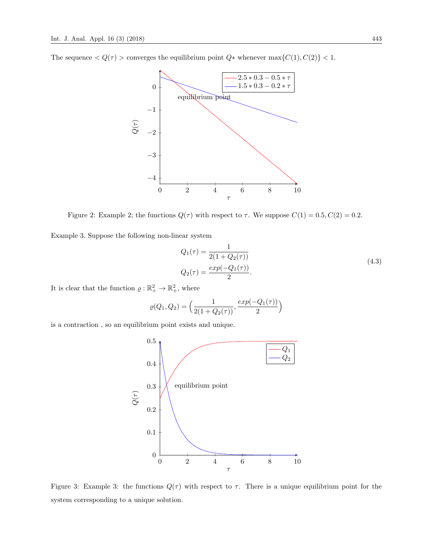The sequence  $\langle Q(\tau) \rangle$  converges the equilibrium point  $Q^*$  whenever  $\max\{C(1), C(2)\}$  < 1.



Figure 2: Example 2; the functions  $Q(\tau)$  with respect to  $\tau$ . We suppose  $C(1) = 0.5, C(2) = 0.2$ .

Example 3. Suppose the following non-linear system

$$
Q_1(\tau) = \frac{1}{2(1 + Q_2(\tau))}
$$
  
\n
$$
Q_2(\tau) = \frac{exp(-Q_1(\tau))}{2}.
$$
\n(4.3)

It is clear that the function  $\varrho : \mathbb{R}^2_+ \to \mathbb{R}^2_+$ , where

$$
\varrho(Q_1, Q_2) = \left(\frac{1}{2(1+Q_2(\tau))}, \frac{exp(-Q_1(\tau))}{2}\right)
$$

is a contraction , so an equilibrium point exists and unique.



Figure 3: Example 3: the functions  $Q(\tau)$  with respect to  $\tau$ . There is a unique equilibrium point for the system corresponding to a unique solution.